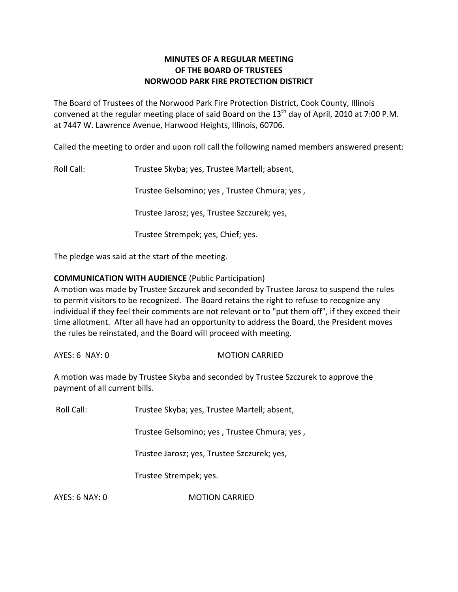# **MINUTES OF A REGULAR MEETING OF THE BOARD OF TRUSTEES NORWOOD PARK FIRE PROTECTION DISTRICT**

The Board of Trustees of the Norwood Park Fire Protection District, Cook County, Illinois convened at the regular meeting place of said Board on the  $13<sup>th</sup>$  day of April, 2010 at 7:00 P.M. at 7447 W. Lawrence Avenue, Harwood Heights, Illinois, 60706.

Called the meeting to order and upon roll call the following named members answered present:

Roll Call: Trustee Skyba; yes, Trustee Martell; absent,

Trustee Gelsomino; yes , Trustee Chmura; yes ,

Trustee Jarosz; yes, Trustee Szczurek; yes,

Trustee Strempek; yes, Chief; yes.

The pledge was said at the start of the meeting.

# **COMMUNICATION WITH AUDIENCE** (Public Participation)

A motion was made by Trustee Szczurek and seconded by Trustee Jarosz to suspend the rules to permit visitors to be recognized. The Board retains the right to refuse to recognize any individual if they feel their comments are not relevant or to "put them off", if they exceed their time allotment. After all have had an opportunity to address the Board, the President moves the rules be reinstated, and the Board will proceed with meeting.

AYES: 6 NAY: 0 MOTION CARRIED

A motion was made by Trustee Skyba and seconded by Trustee Szczurek to approve the payment of all current bills.

Roll Call: Trustee Skyba; yes, Trustee Martell; absent,

Trustee Gelsomino; yes , Trustee Chmura; yes ,

Trustee Jarosz; yes, Trustee Szczurek; yes,

Trustee Strempek; yes.

AYES: 6 NAY: 0 MOTION CARRIED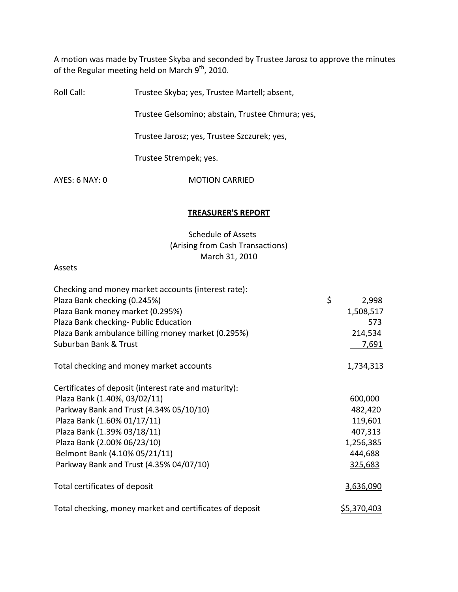A motion was made by Trustee Skyba and seconded by Trustee Jarosz to approve the minutes of the Regular meeting held on March  $9^{\text{th}}$ , 2010.

Roll Call: Trustee Skyba; yes, Trustee Martell; absent,

Trustee Gelsomino; abstain, Trustee Chmura; yes,

Trustee Jarosz; yes, Trustee Szczurek; yes,

Trustee Strempek; yes.

AYES: 6 NAY: 0 MOTION CARRIED

#### **TREASURER'S REPORT**

Schedule of Assets (Arising from Cash Transactions) March 31, 2010

#### Assets

| Checking and money market accounts (interest rate):      |                    |  |
|----------------------------------------------------------|--------------------|--|
| Plaza Bank checking (0.245%)                             | \$<br>2,998        |  |
| Plaza Bank money market (0.295%)                         | 1,508,517          |  |
| Plaza Bank checking- Public Education                    | 573                |  |
| Plaza Bank ambulance billing money market (0.295%)       | 214,534            |  |
| Suburban Bank & Trust                                    | 7,691              |  |
| Total checking and money market accounts                 | 1,734,313          |  |
| Certificates of deposit (interest rate and maturity):    |                    |  |
| Plaza Bank (1.40%, 03/02/11)                             | 600,000            |  |
| Parkway Bank and Trust (4.34% 05/10/10)                  | 482,420            |  |
| Plaza Bank (1.60% 01/17/11)                              | 119,601            |  |
| Plaza Bank (1.39% 03/18/11)                              | 407,313            |  |
| Plaza Bank (2.00% 06/23/10)                              | 1,256,385          |  |
| Belmont Bank (4.10% 05/21/11)                            | 444,688            |  |
| Parkway Bank and Trust (4.35% 04/07/10)                  | 325,683            |  |
| Total certificates of deposit                            | 3,636,090          |  |
| Total checking, money market and certificates of deposit | <u>\$5,370,403</u> |  |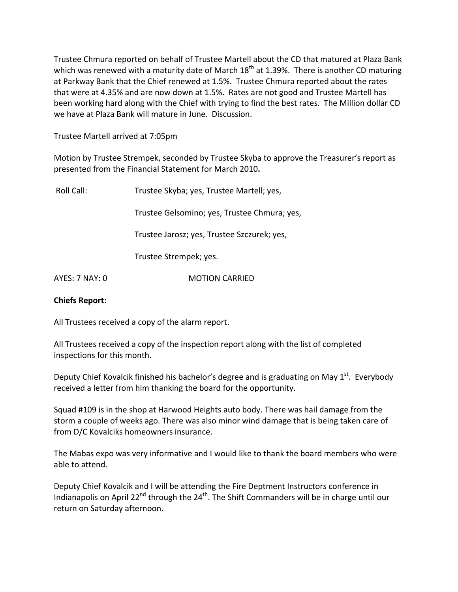Trustee Chmura reported on behalf of Trustee Martell about the CD that matured at Plaza Bank which was renewed with a maturity date of March  $18<sup>th</sup>$  at 1.39%. There is another CD maturing at Parkway Bank that the Chief renewed at 1.5%. Trustee Chmura reported about the rates that were at 4.35% and are now down at 1.5%. Rates are not good and Trustee Martell has been working hard along with the Chief with trying to find the best rates. The Million dollar CD we have at Plaza Bank will mature in June. Discussion.

Trustee Martell arrived at 7:05pm

Motion by Trustee Strempek, seconded by Trustee Skyba to approve the Treasurer's report as presented from the Financial Statement for March 2010**.**

| Roll Call:     | Trustee Skyba; yes, Trustee Martell; yes,    |  |
|----------------|----------------------------------------------|--|
|                | Trustee Gelsomino; yes, Trustee Chmura; yes, |  |
|                | Trustee Jarosz; yes, Trustee Szczurek; yes,  |  |
|                | Trustee Strempek; yes.                       |  |
| AYES: 7 NAY: 0 | <b>MOTION CARRIED</b>                        |  |
|                |                                              |  |

## **Chiefs Report:**

All Trustees received a copy of the alarm report.

All Trustees received a copy of the inspection report along with the list of completed inspections for this month.

Deputy Chief Kovalcik finished his bachelor's degree and is graduating on May 1<sup>st</sup>. Everybody received a letter from him thanking the board for the opportunity.

Squad #109 is in the shop at Harwood Heights auto body. There was hail damage from the storm a couple of weeks ago. There was also minor wind damage that is being taken care of from D/C Kovalciks homeowners insurance.

The Mabas expo was very informative and I would like to thank the board members who were able to attend.

Deputy Chief Kovalcik and I will be attending the Fire Deptment Instructors conference in Indianapolis on April 22<sup>nd</sup> through the 24<sup>th</sup>. The Shift Commanders will be in charge until our return on Saturday afternoon.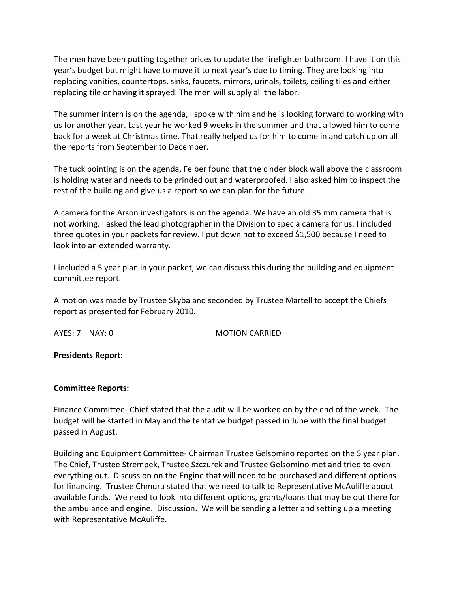The men have been putting together prices to update the firefighter bathroom. I have it on this year's budget but might have to move it to next year's due to timing. They are looking into replacing vanities, countertops, sinks, faucets, mirrors, urinals, toilets, ceiling tiles and either replacing tile or having it sprayed. The men will supply all the labor.

The summer intern is on the agenda, I spoke with him and he is looking forward to working with us for another year. Last year he worked 9 weeks in the summer and that allowed him to come back for a week at Christmas time. That really helped us for him to come in and catch up on all the reports from September to December.

The tuck pointing is on the agenda, Felber found that the cinder block wall above the classroom is holding water and needs to be grinded out and waterproofed. I also asked him to inspect the rest of the building and give us a report so we can plan for the future.

A camera for the Arson investigators is on the agenda. We have an old 35 mm camera that is not working. I asked the lead photographer in the Division to spec a camera for us. I included three quotes in your packets for review. I put down not to exceed \$1,500 because I need to look into an extended warranty.

I included a 5 year plan in your packet, we can discuss this during the building and equipment committee report.

A motion was made by Trustee Skyba and seconded by Trustee Martell to accept the Chiefs report as presented for February 2010.

AYES: 7 NAY: 0 **MOTION CARRIED** 

**Presidents Report:** 

## **Committee Reports:**

Finance Committee‐ Chief stated that the audit will be worked on by the end of the week. The budget will be started in May and the tentative budget passed in June with the final budget passed in August.

Building and Equipment Committee‐ Chairman Trustee Gelsomino reported on the 5 year plan. The Chief, Trustee Strempek, Trustee Szczurek and Trustee Gelsomino met and tried to even everything out. Discussion on the Engine that will need to be purchased and different options for financing. Trustee Chmura stated that we need to talk to Representative McAuliffe about available funds. We need to look into different options, grants/loans that may be out there for the ambulance and engine. Discussion. We will be sending a letter and setting up a meeting with Representative McAuliffe.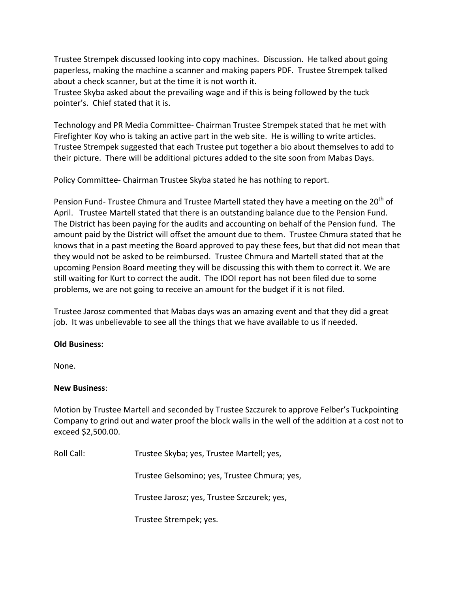Trustee Strempek discussed looking into copy machines. Discussion. He talked about going paperless, making the machine a scanner and making papers PDF. Trustee Strempek talked about a check scanner, but at the time it is not worth it.

Trustee Skyba asked about the prevailing wage and if this is being followed by the tuck pointer's. Chief stated that it is.

Technology and PR Media Committee‐ Chairman Trustee Strempek stated that he met with Firefighter Koy who is taking an active part in the web site. He is willing to write articles. Trustee Strempek suggested that each Trustee put together a bio about themselves to add to their picture. There will be additional pictures added to the site soon from Mabas Days.

Policy Committee‐ Chairman Trustee Skyba stated he has nothing to report.

Pension Fund- Trustee Chmura and Trustee Martell stated they have a meeting on the 20<sup>th</sup> of April. Trustee Martell stated that there is an outstanding balance due to the Pension Fund. The District has been paying for the audits and accounting on behalf of the Pension fund. The amount paid by the District will offset the amount due to them. Trustee Chmura stated that he knows that in a past meeting the Board approved to pay these fees, but that did not mean that they would not be asked to be reimbursed. Trustee Chmura and Martell stated that at the upcoming Pension Board meeting they will be discussing this with them to correct it. We are still waiting for Kurt to correct the audit. The IDOI report has not been filed due to some problems, we are not going to receive an amount for the budget if it is not filed.

Trustee Jarosz commented that Mabas days was an amazing event and that they did a great job. It was unbelievable to see all the things that we have available to us if needed.

# **Old Business:**

None.

## **New Business**:

Motion by Trustee Martell and seconded by Trustee Szczurek to approve Felber's Tuckpointing Company to grind out and water proof the block walls in the well of the addition at a cost not to exceed \$2,500.00.

Roll Call: Trustee Skyba; yes, Trustee Martell; yes,

Trustee Gelsomino; yes, Trustee Chmura; yes,

Trustee Jarosz; yes, Trustee Szczurek; yes,

Trustee Strempek; yes.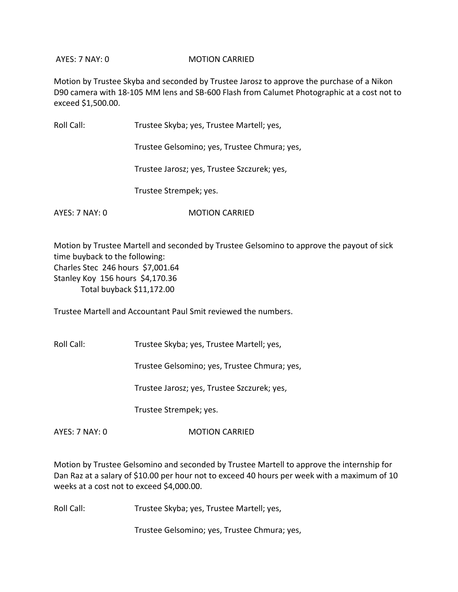AYES: 7 NAY: 0 **MOTION CARRIED** 

Motion by Trustee Skyba and seconded by Trustee Jarosz to approve the purchase of a Nikon D90 camera with 18‐105 MM lens and SB‐600 Flash from Calumet Photographic at a cost not to exceed \$1,500.00.

Roll Call: Trustee Skyba; yes, Trustee Martell; yes, Trustee Gelsomino; yes, Trustee Chmura; yes,

Trustee Jarosz; yes, Trustee Szczurek; yes,

Trustee Strempek; yes.

AYES: 7 NAY: 0 **MOTION CARRIED** 

Motion by Trustee Martell and seconded by Trustee Gelsomino to approve the payout of sick time buyback to the following: Charles Stec 246 hours \$7,001.64 Stanley Koy 156 hours \$4,170.36 Total buyback \$11,172.00

Trustee Martell and Accountant Paul Smit reviewed the numbers.

Roll Call: Trustee Skyba; yes, Trustee Martell; yes,

Trustee Gelsomino; yes, Trustee Chmura; yes,

Trustee Jarosz; yes, Trustee Szczurek; yes,

Trustee Strempek; yes.

AYES: 7 NAY: 0 **MOTION CARRIED** 

Motion by Trustee Gelsomino and seconded by Trustee Martell to approve the internship for Dan Raz at a salary of \$10.00 per hour not to exceed 40 hours per week with a maximum of 10 weeks at a cost not to exceed \$4,000.00.

Roll Call: Trustee Skyba; yes, Trustee Martell; yes,

Trustee Gelsomino; yes, Trustee Chmura; yes,